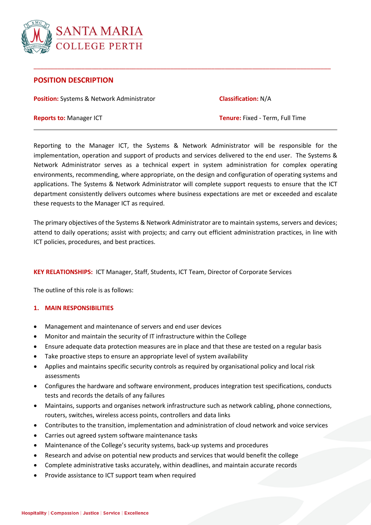

# **POSITION DESCRIPTION**

**Position:** Systems & Network Administrator **Classification:** N/A

**Reports to:** Manager ICT **Tenure:** Fixed - Term, Full Time

Reporting to the Manager ICT, the Systems & Network Administrator will be responsible for the implementation, operation and support of products and services delivered to the end user. The Systems & Network Administrator serves as a technical expert in system administration for complex operating environments, recommending, where appropriate, on the design and configuration of operating systems and applications. The Systems & Network Administrator will complete support requests to ensure that the ICT department consistently delivers outcomes where business expectations are met or exceeded and escalate these requests to the Manager ICT as required.

\_\_\_\_\_\_\_\_\_\_\_\_\_\_\_\_\_\_\_\_\_\_\_\_\_\_\_\_\_\_\_\_\_\_\_\_\_\_\_\_\_\_\_\_\_\_\_\_\_\_\_\_\_\_\_\_\_\_\_\_\_\_\_\_\_\_\_\_\_\_\_\_\_\_\_\_\_\_\_\_\_\_\_\_\_\_\_

The primary objectives of the Systems & Network Administrator are to maintain systems, servers and devices; attend to daily operations; assist with projects; and carry out efficient administration practices, in line with ICT policies, procedures, and best practices.

**KEY RELATIONSHIPS:** ICT Manager, Staff, Students, ICT Team, Director of Corporate Services

The outline of this role is as follows:

#### **1. MAIN RESPONSIBILITIES**

- Management and maintenance of servers and end user devices
- Monitor and maintain the security of IT infrastructure within the College
- Ensure adequate data protection measures are in place and that these are tested on a regular basis
- Take proactive steps to ensure an appropriate level of system availability
- Applies and maintains specific security controls as required by organisational policy and local risk assessments
- Configures the hardware and software environment, produces integration test specifications, conducts tests and records the details of any failures
- Maintains, supports and organises network infrastructure such as network cabling, phone connections, routers, switches, wireless access points, controllers and data links
- Contributes to the transition, implementation and administration of cloud network and voice services
- Carries out agreed system software maintenance tasks
- Maintenance of the College's security systems, back-up systems and procedures
- Research and advise on potential new products and services that would benefit the college
- Complete administrative tasks accurately, within deadlines, and maintain accurate records
- Provide assistance to ICT support team when required